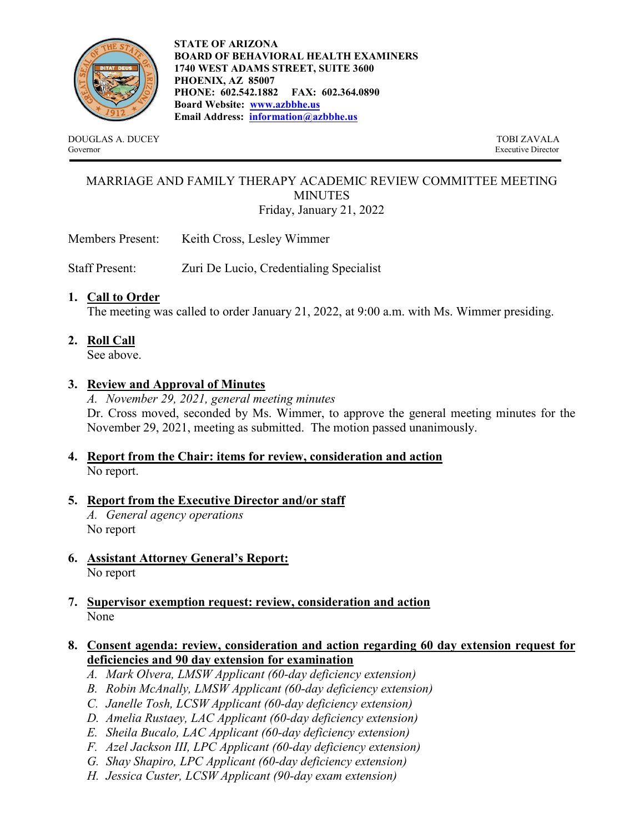

**STATE OF ARIZONA BOARD OF BEHAVIORAL HEALTH EXAMINERS 1740 WEST ADAMS STREET, SUITE 3600 PHOENIX, AZ 85007 PHONE: 602.542.1882 FAX: 602.364.0890 Board Website: [www.azbbhe.us](http://www.azbbhe.us/) Email Address: [information@azbbhe.us](mailto:information@azbbhe.us)**

DOUGLAS A. DUCEY TOBI ZAVALA<br>
Sovernor Fxecutive Director

Executive Director

#### MARRIAGE AND FAMILY THERAPY ACADEMIC REVIEW COMMITTEE MEETING MINUTES Friday, January 21, 2022

Members Present: Keith Cross, Lesley Wimmer

Staff Present: Zuri De Lucio, Credentialing Specialist

#### **1. Call to Order**

The meeting was called to order January 21, 2022, at 9:00 a.m. with Ms. Wimmer presiding.

**2. Roll Call**

See above.

#### **3. Review and Approval of Minutes**

*A. November 29, 2021, general meeting minutes*  Dr. Cross moved, seconded by Ms. Wimmer, to approve the general meeting minutes for the November 29, 2021, meeting as submitted. The motion passed unanimously.

#### **4. Report from the Chair: items for review, consideration and action** No report.

# **5. Report from the Executive Director and/or staff**

*A. General agency operations* No report

- **6. Assistant Attorney General's Report:** No report
- **7. Supervisor exemption request: review, consideration and action** None
- **8. Consent agenda: review, consideration and action regarding 60 day extension request for deficiencies and 90 day extension for examination**
	- *A. Mark Olvera, LMSW Applicant (60-day deficiency extension)*
	- *B. Robin McAnally, LMSW Applicant (60-day deficiency extension)*
	- *C. Janelle Tosh, LCSW Applicant (60-day deficiency extension)*
	- *D. Amelia Rustaey, LAC Applicant (60-day deficiency extension)*
	- *E. Sheila Bucalo, LAC Applicant (60-day deficiency extension)*
	- *F. Azel Jackson III, LPC Applicant (60-day deficiency extension)*
	- *G. Shay Shapiro, LPC Applicant (60-day deficiency extension)*
	- *H. Jessica Custer, LCSW Applicant (90-day exam extension)*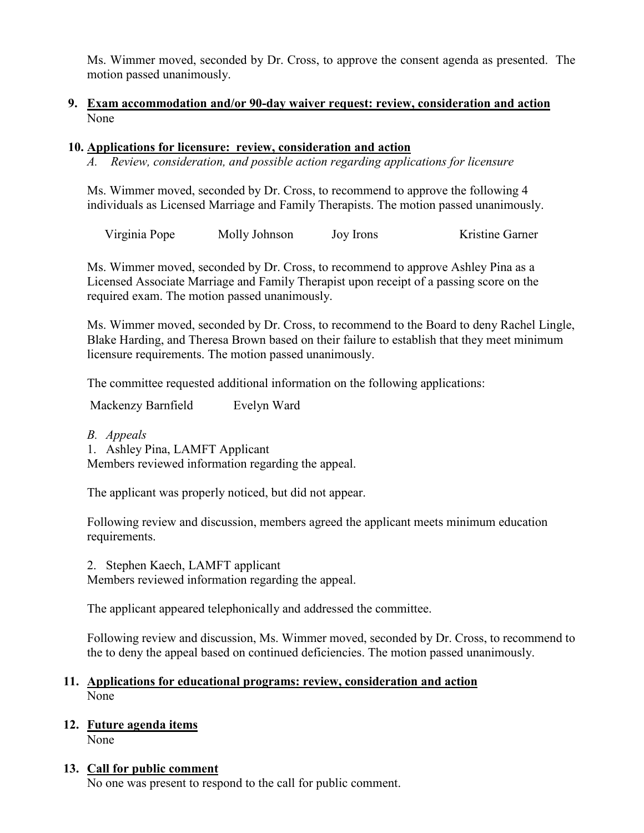Ms. Wimmer moved, seconded by Dr. Cross, to approve the consent agenda as presented. The motion passed unanimously.

#### **9. Exam accommodation and/or 90-day waiver request: review, consideration and action** None

#### **10. Applications for licensure: review, consideration and action**

*A. Review, consideration, and possible action regarding applications for licensure*

Ms. Wimmer moved, seconded by Dr. Cross, to recommend to approve the following 4 individuals as Licensed Marriage and Family Therapists. The motion passed unanimously.

Virginia Pope Molly Johnson Joy Irons Kristine Garner

Ms. Wimmer moved, seconded by Dr. Cross, to recommend to approve Ashley Pina as a Licensed Associate Marriage and Family Therapist upon receipt of a passing score on the required exam. The motion passed unanimously.

Ms. Wimmer moved, seconded by Dr. Cross, to recommend to the Board to deny Rachel Lingle, Blake Harding, and Theresa Brown based on their failure to establish that they meet minimum licensure requirements. The motion passed unanimously.

The committee requested additional information on the following applications:

Mackenzy Barnfield Evelyn Ward

*B. Appeals*

1. Ashley Pina, LAMFT Applicant Members reviewed information regarding the appeal.

The applicant was properly noticed, but did not appear.

Following review and discussion, members agreed the applicant meets minimum education requirements.

2. Stephen Kaech, LAMFT applicant

Members reviewed information regarding the appeal.

The applicant appeared telephonically and addressed the committee.

Following review and discussion, Ms. Wimmer moved, seconded by Dr. Cross, to recommend to the to deny the appeal based on continued deficiencies. The motion passed unanimously.

#### **11. Applications for educational programs: review, consideration and action** None

### **12. Future agenda items**

None

#### **13. Call for public comment**

No one was present to respond to the call for public comment.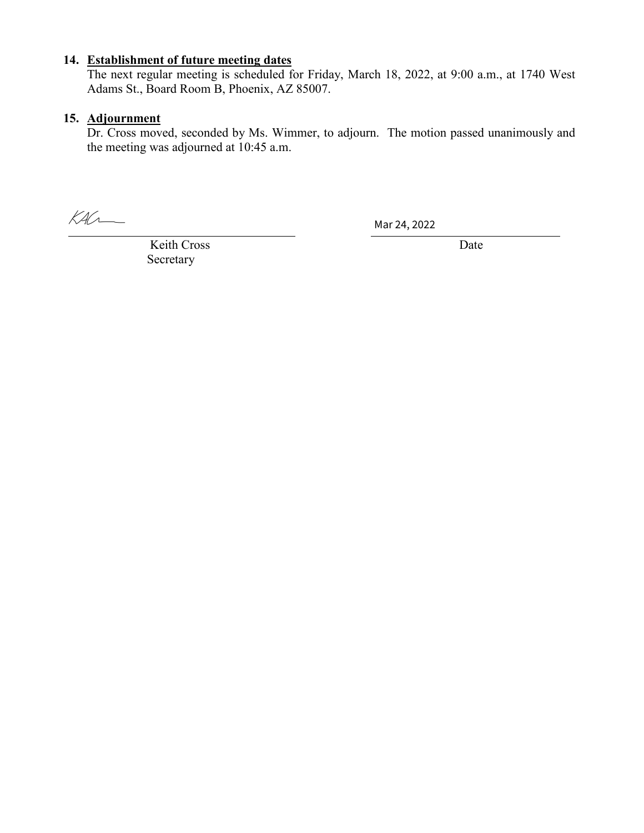## **14. Establishment of future meeting dates**

The next regular meeting is scheduled for Friday, March 18, 2022, at 9:00 a.m., at 1740 West Adams St., Board Room B, Phoenix, AZ 85007.

#### **15. Adjournment**

Dr. Cross moved, seconded by Ms. Wimmer, to adjourn. The motion passed unanimously and the meeting was adjourned at 10:45 a.m.

 $K4C$ 

Mar 24, 2022

Keith Cross Date Secretary